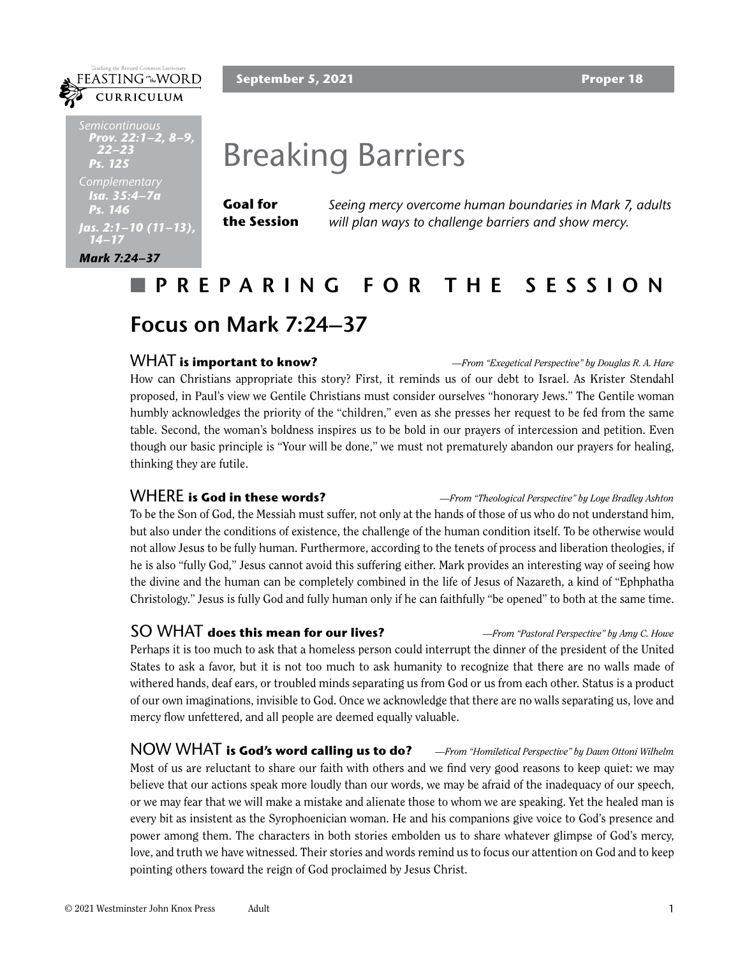

*Seeing mercy overcome human boundaries in Mark 7, adults will plan ways to challenge barriers and show mercy.*

# n **PREPARING FOR THE SESSION Focus on Mark 7:24–37**

## WHAT **is important to know?** *—From "Exegetical Perspective" by Douglas R. A. Hare*

*Mark 7:24–37*

How can Christians appropriate this story? First, it reminds us of our debt to Israel. As Krister Stendahl proposed, in Paul's view we Gentile Christians must consider ourselves "honorary Jews." The Gentile woman humbly acknowledges the priority of the "children," even as she presses her request to be fed from the same table. Second, the woman's boldness inspires us to be bold in our prayers of intercession and petition. Even though our basic principle is "Your will be done," we must not prematurely abandon our prayers for healing, thinking they are futile.

WHERE **is God in these words?** *—From "Theological Perspective" by Loye Bradley Ashton* To be the Son of God, the Messiah must suffer, not only at the hands of those of us who do not understand him, but also under the conditions of existence, the challenge of the human condition itself. To be otherwise would not allow Jesus to be fully human. Furthermore, according to the tenets of process and liberation theologies, if he is also "fully God," Jesus cannot avoid this suffering either. Mark provides an interesting way of seeing how the divine and the human can be completely combined in the life of Jesus of Nazareth, a kind of "Ephphatha Christology." Jesus is fully God and fully human only if he can faithfully "be opened" to both at the same time.

## SO WHAT **does this mean for our lives?** *—From "Pastoral Perspective" by Amy C. Howe*

Perhaps it is too much to ask that a homeless person could interrupt the dinner of the president of the United States to ask a favor, but it is not too much to ask humanity to recognize that there are no walls made of withered hands, deaf ears, or troubled minds separating us from God or us from each other. Status is a product of our own imaginations, invisible to God. Once we acknowledge that there are no walls separating us, love and mercy flow unfettered, and all people are deemed equally valuable.

NOW WHAT **is God's word calling us to do?** *—From "Homiletical Perspective" by Dawn Ottoni Wilhelm* Most of us are reluctant to share our faith with others and we find very good reasons to keep quiet: we may believe that our actions speak more loudly than our words, we may be afraid of the inadequacy of our speech, or we may fear that we will make a mistake and alienate those to whom we are speaking. Yet the healed man is every bit as insistent as the Syrophoenician woman. He and his companions give voice to God's presence and power among them. The characters in both stories embolden us to share whatever glimpse of God's mercy, love, and truth we have witnessed. Their stories and words remind us to focus our attention on God and to keep pointing others toward the reign of God proclaimed by Jesus Christ.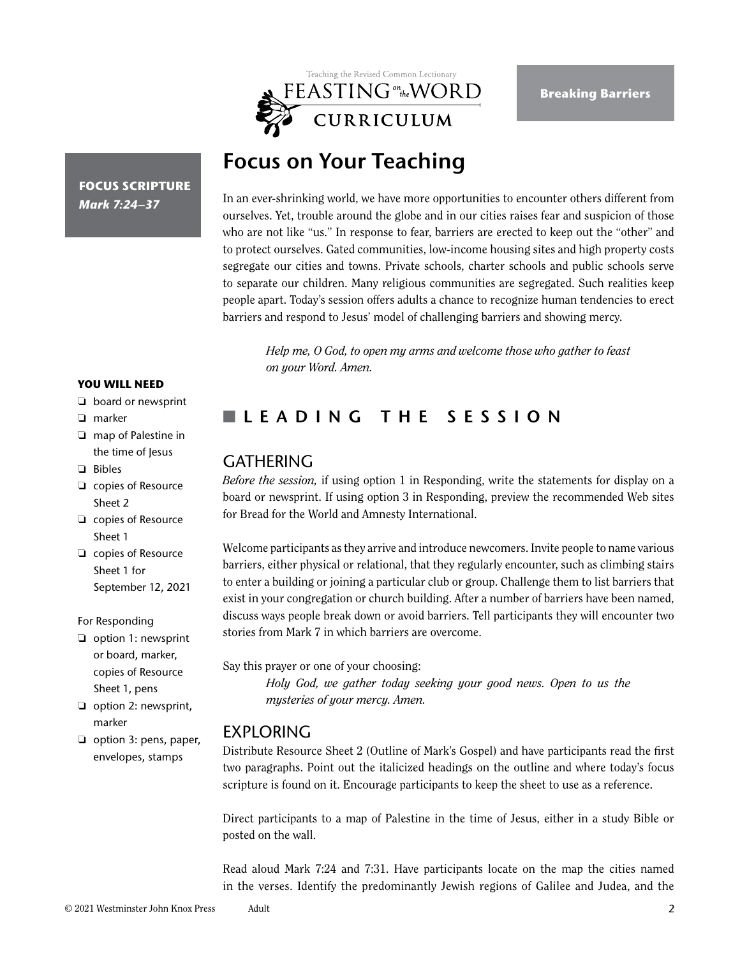

# **Focus on Your Teaching**

**FOCUS SCRIPTURE** *Mark 7:24–37*

In an ever-shrinking world, we have more opportunities to encounter others different from ourselves. Yet, trouble around the globe and in our cities raises fear and suspicion of those who are not like "us." In response to fear, barriers are erected to keep out the "other" and to protect ourselves. Gated communities, low-income housing sites and high property costs segregate our cities and towns. Private schools, charter schools and public schools serve to separate our children. Many religious communities are segregated. Such realities keep people apart. Today's session offers adults a chance to recognize human tendencies to erect barriers and respond to Jesus' model of challenging barriers and showing mercy.

*Help me, O God, to open my arms and welcome those who gather to feast on your Word. Amen.*

#### **YOU WILL NEED**

- ❏ board or newsprint
- ❏ marker
- ❏ map of Palestine in the time of Jesus
- ❏ Bibles
- ❏ copies of Resource Sheet 2
- ❏ copies of Resource Sheet 1
- ❏ copies of Resource Sheet 1 for September 12, 2021

#### For Responding

- ❏ option 1: newsprint or board, marker, copies of Resource Sheet 1, pens
- ❏ option 2: newsprint, marker
- ❏ option 3: pens, paper, envelopes, stamps

# n **LEADING THE SESSION**

# GATHERING

*Before the session,* if using option 1 in Responding, write the statements for display on a board or newsprint. If using option 3 in Responding, preview the recommended Web sites for Bread for the World and Amnesty International.

Welcome participants as they arrive and introduce newcomers. Invite people to name various barriers, either physical or relational, that they regularly encounter, such as climbing stairs to enter a building or joining a particular club or group. Challenge them to list barriers that exist in your congregation or church building. After a number of barriers have been named, discuss ways people break down or avoid barriers. Tell participants they will encounter two stories from Mark 7 in which barriers are overcome.

Say this prayer or one of your choosing:

*Holy God, we gather today seeking your good news. Open to us the mysteries of your mercy. Amen.*

# EXPLORING

Distribute Resource Sheet 2 (Outline of Mark's Gospel) and have participants read the first two paragraphs. Point out the italicized headings on the outline and where today's focus scripture is found on it. Encourage participants to keep the sheet to use as a reference.

Direct participants to a map of Palestine in the time of Jesus, either in a study Bible or posted on the wall.

Read aloud Mark 7:24 and 7:31. Have participants locate on the map the cities named in the verses. Identify the predominantly Jewish regions of Galilee and Judea, and the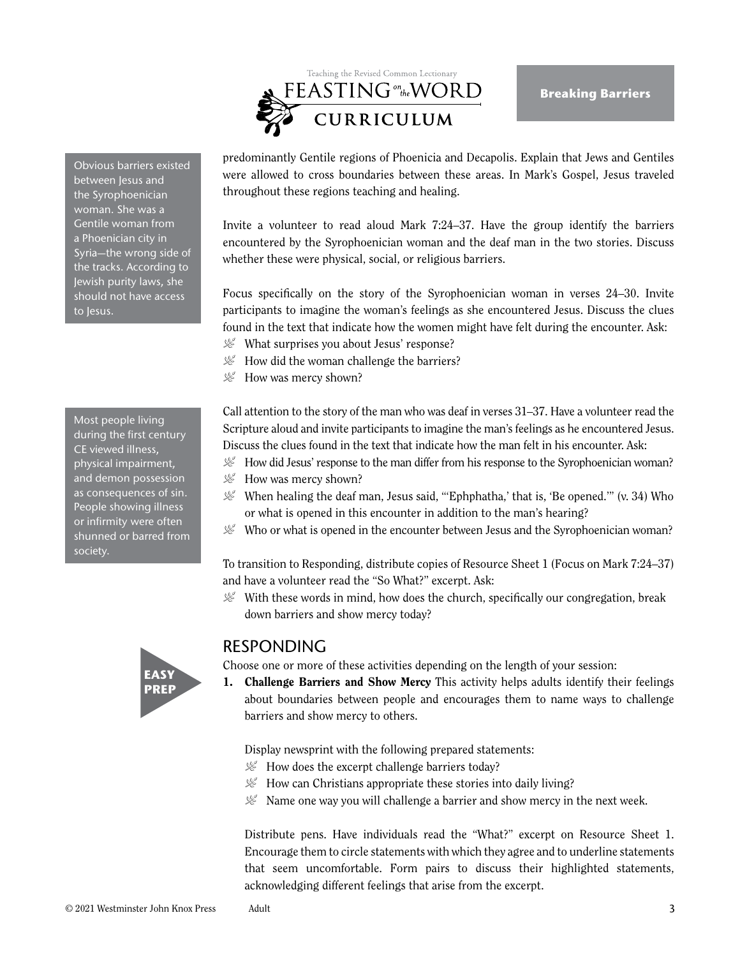

Obvious barriers existed between Jesus and the Syrophoenician woman. She was a Gentile woman from a Phoenician city in Syria—the wrong side of the tracks. According to Jewish purity laws, she should not have access to Jesus.

Most people living during the first century CE viewed illness, physical impairment, and demon possession as consequences of sin. People showing illness or infirmity were often shunned or barred from society.



predominantly Gentile regions of Phoenicia and Decapolis. Explain that Jews and Gentiles were allowed to cross boundaries between these areas. In Mark's Gospel, Jesus traveled throughout these regions teaching and healing.

Invite a volunteer to read aloud Mark 7:24–37. Have the group identify the barriers encountered by the Syrophoenician woman and the deaf man in the two stories. Discuss whether these were physical, social, or religious barriers.

Focus specifically on the story of the Syrophoenician woman in verses 24–30. Invite participants to imagine the woman's feelings as she encountered Jesus. Discuss the clues found in the text that indicate how the women might have felt during the encounter. Ask:

- $\mathcal{L}$  What surprises you about Jesus' response?
- $\mathcal{L}$  How did the woman challenge the barriers?
- $\mathcal{L}$  How was mercy shown?

Call attention to the story of the man who was deaf in verses 31–37. Have a volunteer read the Scripture aloud and invite participants to imagine the man's feelings as he encountered Jesus. Discuss the clues found in the text that indicate how the man felt in his encounter. Ask:

- $\mathcal{L}$  How did Jesus' response to the man differ from his response to the Syrophoenician woman?
- $\mathcal{L}$  How was mercy shown?
- When healing the deaf man, Jesus said, "'Ephphatha,' that is, 'Be opened.'" (v. 34) Who or what is opened in this encounter in addition to the man's hearing?
- $\mathcal{L}$  Who or what is opened in the encounter between Jesus and the Syrophoenician woman?

To transition to Responding, distribute copies of Resource Sheet 1 (Focus on Mark 7:24–37) and have a volunteer read the "So What?" excerpt. Ask:

 $\mathcal{L}$  With these words in mind, how does the church, specifically our congregation, break down barriers and show mercy today?

# RESPONDING

Choose one or more of these activities depending on the length of your session:

1. Challenge Barriers and Show Mercy This activity helps adults identify their feelings about boundaries between people and encourages them to name ways to challenge barriers and show mercy to others.

Display newsprint with the following prepared statements:

- $\mathcal{L}$  How does the excerpt challenge barriers today?
- $\mathcal{L}$  How can Christians appropriate these stories into daily living?
- $\mathcal{L}$  Name one way you will challenge a barrier and show mercy in the next week.

Distribute pens. Have individuals read the "What?" excerpt on Resource Sheet 1. Encourage them to circle statements with which they agree and to underline statements that seem uncomfortable. Form pairs to discuss their highlighted statements, acknowledging different feelings that arise from the excerpt.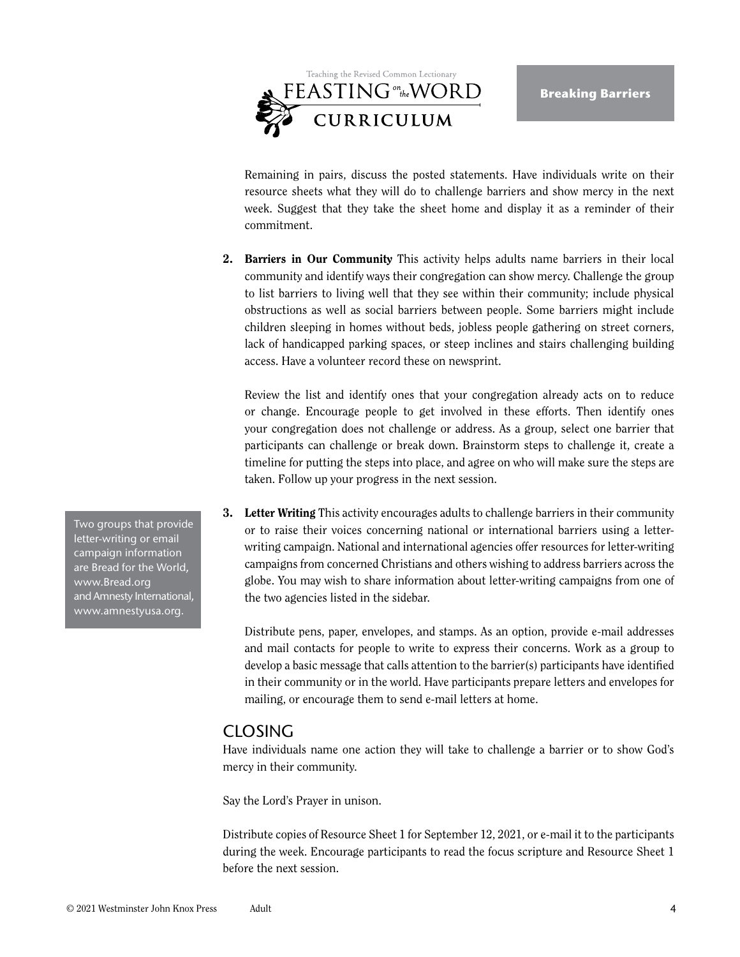

Remaining in pairs, discuss the posted statements. Have individuals write on their resource sheets what they will do to challenge barriers and show mercy in the next week. Suggest that they take the sheet home and display it as a reminder of their commitment.

2. Barriers in Our Community This activity helps adults name barriers in their local community and identify ways their congregation can show mercy. Challenge the group to list barriers to living well that they see within their community; include physical obstructions as well as social barriers between people. Some barriers might include children sleeping in homes without beds, jobless people gathering on street corners, lack of handicapped parking spaces, or steep inclines and stairs challenging building access. Have a volunteer record these on newsprint.

Review the list and identify ones that your congregation already acts on to reduce or change. Encourage people to get involved in these efforts. Then identify ones your congregation does not challenge or address. As a group, select one barrier that participants can challenge or break down. Brainstorm steps to challenge it, create a timeline for putting the steps into place, and agree on who will make sure the steps are taken. Follow up your progress in the next session.

**3.** Letter Writing This activity encourages adults to challenge barriers in their community or to raise their voices concerning national or international barriers using a letterwriting campaign. National and international agencies offer resources for letter-writing campaigns from concerned Christians and others wishing to address barriers across the globe. You may wish to share information about letter-writing campaigns from one of the two agencies listed in the sidebar.

Distribute pens, paper, envelopes, and stamps. As an option, provide e-mail addresses and mail contacts for people to write to express their concerns. Work as a group to develop a basic message that calls attention to the barrier(s) participants have identified in their community or in the world. Have participants prepare letters and envelopes for mailing, or encourage them to send e-mail letters at home.

# CLOSING

Have individuals name one action they will take to challenge a barrier or to show God's mercy in their community.

Say the Lord's Prayer in unison.

Distribute copies of Resource Sheet 1 for September 12, 2021, or e-mail it to the participants during the week. Encourage participants to read the focus scripture and Resource Sheet 1 before the next session.

Two groups that provide letter-writing or email campaign information are Bread for the World, www.Bread.org and Amnesty International, www.amnestyusa.org.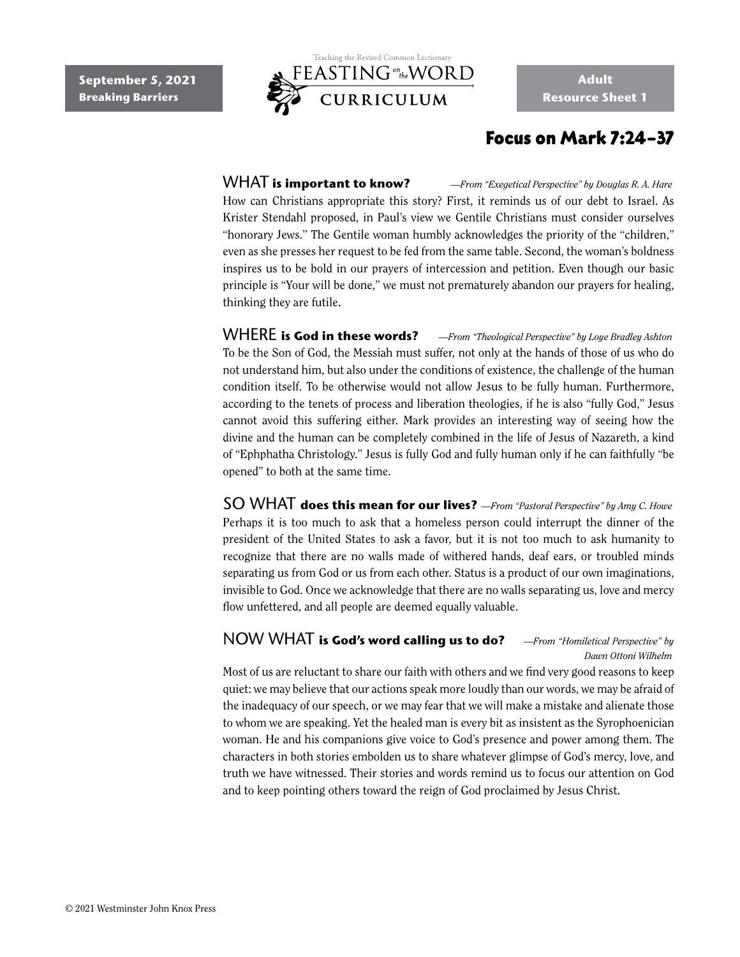

**Adult Resource Sheet 1**

# Focus on Mark 7:24–37

WHAT **is important to know?** *—From "Exegetical Perspective" by Douglas R. A. Hare* How can Christians appropriate this story? First, it reminds us of our debt to Israel. As Krister Stendahl proposed, in Paul's view we Gentile Christians must consider ourselves "honorary Jews." The Gentile woman humbly acknowledges the priority of the "children," even as she presses her request to be fed from the same table. Second, the woman's boldness inspires us to be bold in our prayers of intercession and petition. Even though our basic principle is "Your will be done," we must not prematurely abandon our prayers for healing, thinking they are futile.

WHERE **is God in these words?** *—From "Theological Perspective" by Loye Bradley Ashton* To be the Son of God, the Messiah must suffer, not only at the hands of those of us who do not understand him, but also under the conditions of existence, the challenge of the human condition itself. To be otherwise would not allow Jesus to be fully human. Furthermore, according to the tenets of process and liberation theologies, if he is also "fully God," Jesus cannot avoid this suffering either. Mark provides an interesting way of seeing how the divine and the human can be completely combined in the life of Jesus of Nazareth, a kind of "Ephphatha Christology." Jesus is fully God and fully human only if he can faithfully "be opened" to both at the same time.

SO WHAT **does this mean for our lives?** *—From "Pastoral Perspective" by Amy C. Howe* Perhaps it is too much to ask that a homeless person could interrupt the dinner of the president of the United States to ask a favor, but it is not too much to ask humanity to recognize that there are no walls made of withered hands, deaf ears, or troubled minds separating us from God or us from each other. Status is a product of our own imaginations, invisible to God. Once we acknowledge that there are no walls separating us, love and mercy flow unfettered, and all people are deemed equally valuable.

### NOW WHAT **is God's word calling us to do?** *—From "Homiletical Perspective" by Dawn Ottoni Wilhelm*

Most of us are reluctant to share our faith with others and we find very good reasons to keep quiet: we may believe that our actions speak more loudly than our words, we may be afraid of the inadequacy of our speech, or we may fear that we will make a mistake and alienate those to whom we are speaking. Yet the healed man is every bit as insistent as the Syrophoenician woman. He and his companions give voice to God's presence and power among them. The characters in both stories embolden us to share whatever glimpse of God's mercy, love, and truth we have witnessed. Their stories and words remind us to focus our attention on God and to keep pointing others toward the reign of God proclaimed by Jesus Christ.